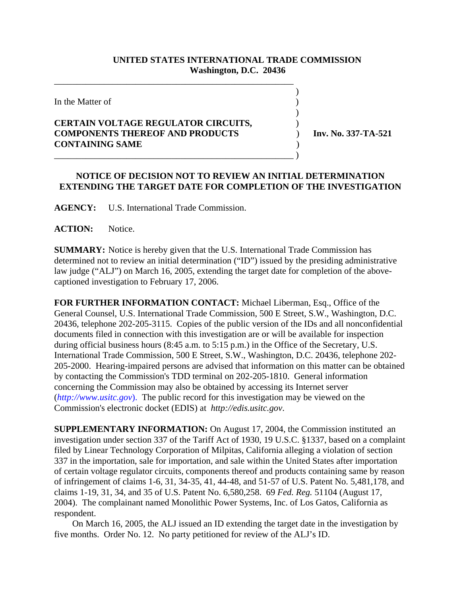## **UNITED STATES INTERNATIONAL TRADE COMMISSION Washington, D.C. 20436**

 $\overline{\phantom{a}}$ 

 $\overline{\phantom{a}}$ 

In the Matter of  $\blacksquare$ 

## **CERTAIN VOLTAGE REGULATOR CIRCUITS,** ) **COMPONENTS THEREOF AND PRODUCTS** ) **Inv. No. 337-TA-521 CONTAINING SAME** ) \_\_\_\_\_\_\_\_\_\_\_\_\_\_\_\_\_\_\_\_\_\_\_\_\_\_\_\_\_\_\_\_\_\_\_\_\_\_\_\_\_\_\_\_\_\_\_\_\_\_\_\_\_ )

\_\_\_\_\_\_\_\_\_\_\_\_\_\_\_\_\_\_\_\_\_\_\_\_\_\_\_\_\_\_\_\_\_\_\_\_\_\_\_\_\_\_\_\_\_\_\_\_\_\_\_\_\_

## **NOTICE OF DECISION NOT TO REVIEW AN INITIAL DETERMINATION EXTENDING THE TARGET DATE FOR COMPLETION OF THE INVESTIGATION**

**AGENCY:** U.S. International Trade Commission.

**ACTION:** Notice.

**SUMMARY:** Notice is hereby given that the U.S. International Trade Commission has determined not to review an initial determination ("ID") issued by the presiding administrative law judge ("ALJ") on March 16, 2005, extending the target date for completion of the abovecaptioned investigation to February 17, 2006.

**FOR FURTHER INFORMATION CONTACT:** Michael Liberman, Esq., Office of the General Counsel, U.S. International Trade Commission, 500 E Street, S.W., Washington, D.C. 20436, telephone 202-205-3115. Copies of the public version of the IDs and all nonconfidential documents filed in connection with this investigation are or will be available for inspection during official business hours (8:45 a.m. to 5:15 p.m.) in the Office of the Secretary, U.S. International Trade Commission, 500 E Street, S.W., Washington, D.C. 20436, telephone 202- 205-2000. Hearing-impaired persons are advised that information on this matter can be obtained by contacting the Commission's TDD terminal on 202-205-1810. General information concerning the Commission may also be obtained by accessing its Internet server (*http://www.usitc.gov*). The public record for this investigation may be viewed on the Commission's electronic docket (EDIS) at *http://edis.usitc.gov*.

**SUPPLEMENTARY INFORMATION:** On August 17, 2004, the Commission instituted an investigation under section 337 of the Tariff Act of 1930, 19 U.S.C. §1337, based on a complaint filed by Linear Technology Corporation of Milpitas, California alleging a violation of section 337 in the importation, sale for importation, and sale within the United States after importation of certain voltage regulator circuits, components thereof and products containing same by reason of infringement of claims 1-6, 31, 34-35, 41, 44-48, and 51-57 of U.S. Patent No. 5,481,178, and claims 1-19, 31, 34, and 35 of U.S. Patent No. 6,580,258. 69 *Fed. Reg.* 51104 (August 17, 2004). The complainant named Monolithic Power Systems, Inc. of Los Gatos, California as respondent.

 On March 16, 2005, the ALJ issued an ID extending the target date in the investigation by five months. Order No. 12. No party petitioned for review of the ALJ's ID.